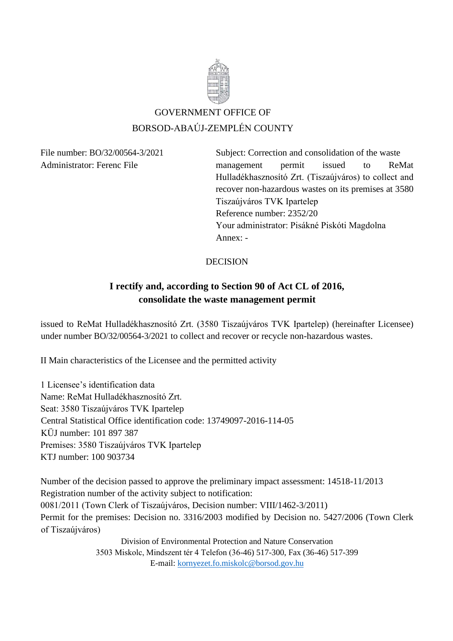

# GOVERNMENT OFFICE OF BORSOD-ABAÚJ-ZEMPLÉN COUNTY

File number: BO/32/00564-3/2021 Subject: Correction and consolidation of the waste Administrator: Ferenc File management permit issued to ReMat Hulladékhasznosító Zrt. (Tiszaújváros) to collect and recover non-hazardous wastes on its premises at 3580 Tiszaújváros TVK Ipartelep Reference number: 2352/20 Your administrator: Pisákné Piskóti Magdolna Annex: -

#### DECISION

## **I rectify and, according to Section 90 of Act CL of 2016, consolidate the waste management permit**

issued to ReMat Hulladékhasznosító Zrt. (3580 Tiszaújváros TVK Ipartelep) (hereinafter Licensee) under number BO/32/00564-3/2021 to collect and recover or recycle non-hazardous wastes.

II Main characteristics of the Licensee and the permitted activity

1 Licensee's identification data Name: ReMat Hulladékhasznosító Zrt. Seat: 3580 Tiszaújváros TVK Ipartelep Central Statistical Office identification code: 13749097-2016-114-05 KÜJ number: 101 897 387 Premises: 3580 Tiszaújváros TVK Ipartelep KTJ number: 100 903734

Number of the decision passed to approve the preliminary impact assessment: 14518-11/2013 Registration number of the activity subject to notification: 0081/2011 (Town Clerk of Tiszaújváros, Decision number: VIII/1462-3/2011) Permit for the premises: Decision no. 3316/2003 modified by Decision no. 5427/2006 (Town Clerk of Tiszaújváros)

Division of Environmental Protection and Nature Conservation 3503 Miskolc, Mindszent tér 4 Telefon (36-46) 517-300, Fax (36-46) 517-399 E-mail: [kornyezet.fo.miskolc@borsod.gov.hu](mailto:kornyezet.fo.miskolc@borsod.gov.hu)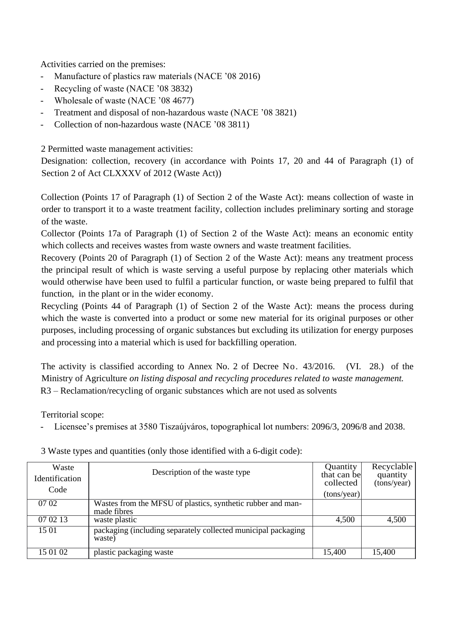Activities carried on the premises:

- Manufacture of plastics raw materials (NACE '08 2016)
- Recycling of waste (NACE '08 3832)
- Wholesale of waste (NACE '08 4677)
- Treatment and disposal of non-hazardous waste (NACE '08 3821)
- Collection of non-hazardous waste (NACE '08 3811)

2 Permitted waste management activities:

Designation: collection, recovery (in accordance with Points 17, 20 and 44 of Paragraph (1) of Section 2 of Act CLXXXV of 2012 (Waste Act))

Collection (Points 17 of Paragraph (1) of Section 2 of the Waste Act): means collection of waste in order to transport it to a waste treatment facility, collection includes preliminary sorting and storage of the waste.

Collector (Points 17a of Paragraph (1) of Section 2 of the Waste Act): means an economic entity which collects and receives wastes from waste owners and waste treatment facilities.

Recovery (Points 20 of Paragraph (1) of Section 2 of the Waste Act): means any treatment process the principal result of which is waste serving a useful purpose by replacing other materials which would otherwise have been used to fulfil a particular function, or waste being prepared to fulfil that function, in the plant or in the wider economy.

Recycling (Points 44 of Paragraph (1) of Section 2 of the Waste Act): means the process during which the waste is converted into a product or some new material for its original purposes or other purposes, including processing of organic substances but excluding its utilization for energy purposes and processing into a material which is used for backfilling operation.

The activity is classified according to Annex No. 2 of Decree No. 43/2016. (VI. 28.) of the Ministry of Agriculture *on listing disposal and recycling procedures related to waste management.*  R3 – Reclamation/recycling of organic substances which are not used as solvents

Territorial scope:

Licensee's premises at 3580 Tiszaújváros, topographical lot numbers: 2096/3, 2096/8 and 2038.

| Waste          | Description of the waste type                                              | Quantity                 | Recyclable              |
|----------------|----------------------------------------------------------------------------|--------------------------|-------------------------|
| Identification |                                                                            | that can be<br>collected | quantity<br>(tons/year) |
| Code           |                                                                            | (tons/year)              |                         |
| 07 02          | Wastes from the MFSU of plastics, synthetic rubber and man-<br>made fibres |                          |                         |
| 07 02 13       | waste plastic                                                              | 4,500                    | 4,500                   |
| 15 01          | packaging (including separately collected municipal packaging<br>waste)    |                          |                         |
| 15 01 02       | plastic packaging waste                                                    | 15,400                   | 15,400                  |

3 Waste types and quantities (only those identified with a 6-digit code):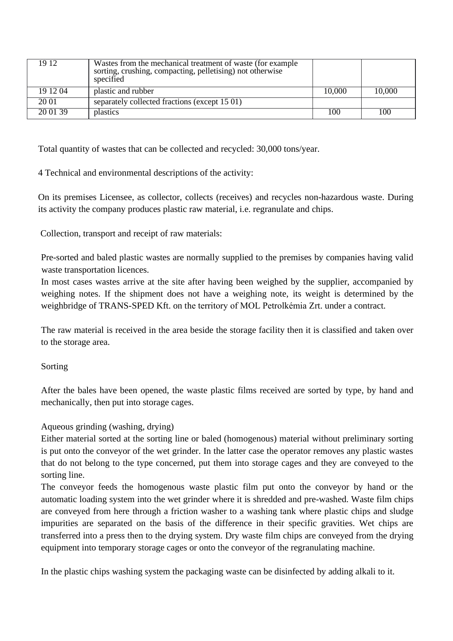| 19 12    | Wastes from the mechanical treatment of waste (for example<br>sorting, crushing, compacting, pelletising) not otherwise<br>specified |        |        |
|----------|--------------------------------------------------------------------------------------------------------------------------------------|--------|--------|
| 19 12 04 | plastic and rubber                                                                                                                   | 10,000 | 10,000 |
| 20 01    | separately collected fractions (except 15 01)                                                                                        |        |        |
| 20 01 39 | plastics                                                                                                                             | 100    | 100    |

Total quantity of wastes that can be collected and recycled: 30,000 tons/year.

4 Technical and environmental descriptions of the activity:

On its premises Licensee, as collector, collects (receives) and recycles non-hazardous waste. During its activity the company produces plastic raw material, i.e. regranulate and chips.

Collection, transport and receipt of raw materials:

Pre-sorted and baled plastic wastes are normally supplied to the premises by companies having valid waste transportation licences.

In most cases wastes arrive at the site after having been weighed by the supplier, accompanied by weighing notes. If the shipment does not have a weighing note, its weight is determined by the weighbridge of TRANS-SPED Kft. on the territory of MOL Petrolkémia Zrt. under a contract.

The raw material is received in the area beside the storage facility then it is classified and taken over to the storage area.

#### Sorting

After the bales have been opened, the waste plastic films received are sorted by type, by hand and mechanically, then put into storage cages.

#### Aqueous grinding (washing, drying)

Either material sorted at the sorting line or baled (homogenous) material without preliminary sorting is put onto the conveyor of the wet grinder. In the latter case the operator removes any plastic wastes that do not belong to the type concerned, put them into storage cages and they are conveyed to the sorting line.

The conveyor feeds the homogenous waste plastic film put onto the conveyor by hand or the automatic loading system into the wet grinder where it is shredded and pre-washed. Waste film chips are conveyed from here through a friction washer to a washing tank where plastic chips and sludge impurities are separated on the basis of the difference in their specific gravities. Wet chips are transferred into a press then to the drying system. Dry waste film chips are conveyed from the drying equipment into temporary storage cages or onto the conveyor of the regranulating machine.

In the plastic chips washing system the packaging waste can be disinfected by adding alkali to it.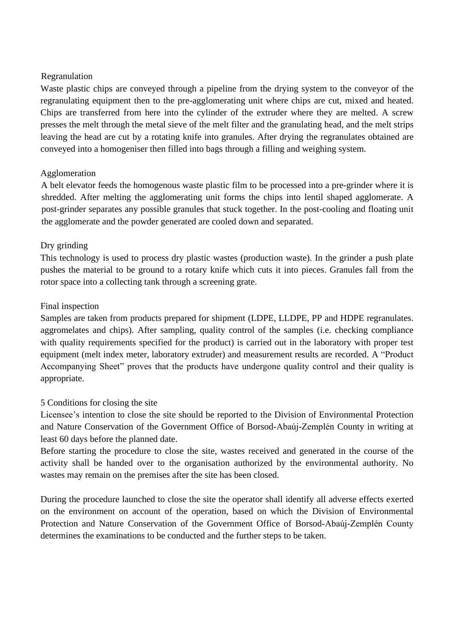#### Regranulation

Waste plastic chips are conveyed through a pipeline from the drying system to the conveyor of the regranulating equipment then to the pre-agglomerating unit where chips are cut, mixed and heated. Chips are transferred from here into the cylinder of the extruder where they are melted. A screw presses the melt through the metal sieve of the melt filter and the granulating head, and the melt strips leaving the head are cut by a rotating knife into granules. After drying the regranulates obtained are conveyed into a homogeniser then filled into bags through a filling and weighing system.

### Agglomeration

A belt elevator feeds the homogenous waste plastic film to be processed into a pre-grinder where it is shredded. After melting the agglomerating unit forms the chips into lentil shaped agglomerate. A post-grinder separates any possible granules that stuck together. In the post-cooling and floating unit the agglomerate and the powder generated are cooled down and separated.

### Dry grinding

This technology is used to process dry plastic wastes (production waste). In the grinder a push plate pushes the material to be ground to a rotary knife which cuts it into pieces. Granules fall from the rotor space into a collecting tank through a screening grate.

### Final inspection

Samples are taken from products prepared for shipment (LDPE, LLDPE, PP and HDPE regranulates. aggromelates and chips). After sampling, quality control of the samples (i.e. checking compliance with quality requirements specified for the product) is carried out in the laboratory with proper test equipment (melt index meter, laboratory extruder) and measurement results are recorded. A "Product Accompanying Sheet" proves that the products have undergone quality control and their quality is appropriate.

## 5 Conditions for closing the site

Licensee's intention to close the site should be reported to the Division of Environmental Protection and Nature Conservation of the Government Office of Borsod-Abaúj-Zemplén County in writing at least 60 days before the planned date.

Before starting the procedure to close the site, wastes received and generated in the course of the activity shall be handed over to the organisation authorized by the environmental authority. No wastes may remain on the premises after the site has been closed.

During the procedure launched to close the site the operator shall identify all adverse effects exerted on the environment on account of the operation, based on which the Division of Environmental Protection and Nature Conservation of the Government Office of Borsod-Abaúj-Zemplén County determines the examinations to be conducted and the further steps to be taken.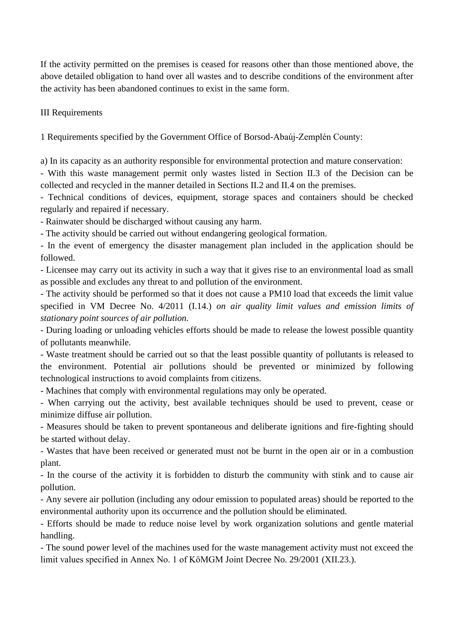If the activity permitted on the premises is ceased for reasons other than those mentioned above, the above detailed obligation to hand over all wastes and to describe conditions of the environment after the activity has been abandoned continues to exist in the same form.

III Requirements

1 Requirements specified by the Government Office of Borsod-Abaúj-Zemplén County:

a) In its capacity as an authority responsible for environmental protection and mature conservation:

- With this waste management permit only wastes listed in Section II.3 of the Decision can be collected and recycled in the manner detailed in Sections II.2 and II.4 on the premises.

- Technical conditions of devices, equipment, storage spaces and containers should be checked regularly and repaired if necessary.

- Rainwater should be discharged without causing any harm.

- The activity should be carried out without endangering geological formation.

- In the event of emergency the disaster management plan included in the application should be followed.

- Licensee may carry out its activity in such a way that it gives rise to an environmental load as small as possible and excludes any threat to and pollution of the environment.

- The activity should be performed so that it does not cause a PM10 load that exceeds the limit value specified in VM Decree No. 4/2011 (I.14.) *on air quality limit values and emission limits of stationary point sources of air pollution.*

*-* During loading or unloading vehicles efforts should be made to release the lowest possible quantity of pollutants meanwhile.

- Waste treatment should be carried out so that the least possible quantity of pollutants is released to the environment. Potential air pollutions should be prevented or minimized by following technological instructions to avoid complaints from citizens.

- Machines that comply with environmental regulations may only be operated.

- When carrying out the activity, best available techniques should be used to prevent, cease or minimize diffuse air pollution.

- Measures should be taken to prevent spontaneous and deliberate ignitions and fire-fighting should be started without delay.

- Wastes that have been received or generated must not be burnt in the open air or in a combustion plant.

- In the course of the activity it is forbidden to disturb the community with stink and to cause air pollution.

- Any severe air pollution (including any odour emission to populated areas) should be reported to the environmental authority upon its occurrence and the pollution should be eliminated.

- Efforts should be made to reduce noise level by work organization solutions and gentle material handling.

- The sound power level of the machines used for the waste management activity must not exceed the limit values specified in Annex No. 1 of KöMGM Joint Decree No. 29/2001 (XII.23.).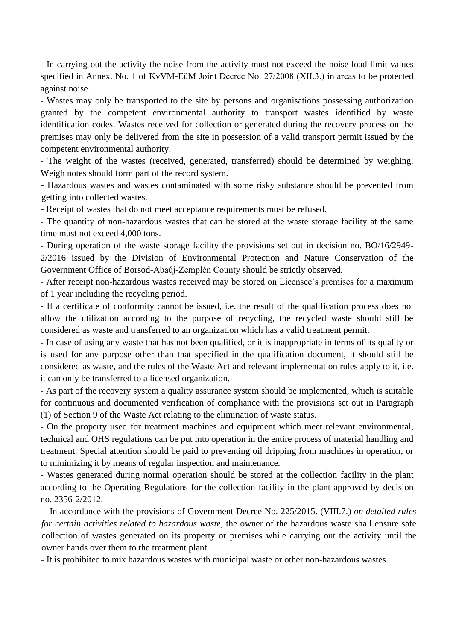- In carrying out the activity the noise from the activity must not exceed the noise load limit values specified in Annex. No. 1 of KvVM-EüM Joint Decree No. 27/2008 (XII.3.) in areas to be protected against noise.

- Wastes may only be transported to the site by persons and organisations possessing authorization granted by the competent environmental authority to transport wastes identified by waste identification codes. Wastes received for collection or generated during the recovery process on the premises may only be delivered from the site in possession of a valid transport permit issued by the competent environmental authority.

- The weight of the wastes (received, generated, transferred) should be determined by weighing. Weigh notes should form part of the record system.

- Hazardous wastes and wastes contaminated with some risky substance should be prevented from getting into collected wastes.

- Receipt of wastes that do not meet acceptance requirements must be refused.

- The quantity of non-hazardous wastes that can be stored at the waste storage facility at the same time must not exceed 4,000 tons.

- During operation of the waste storage facility the provisions set out in decision no. BO/16/2949- 2/2016 issued by the Division of Environmental Protection and Nature Conservation of the Government Office of Borsod-Abaúj-Zemplén County should be strictly observed.

- After receipt non-hazardous wastes received may be stored on Licensee's premises for a maximum of 1 year including the recycling period.

- If a certificate of conformity cannot be issued, i.e. the result of the qualification process does not allow the utilization according to the purpose of recycling, the recycled waste should still be considered as waste and transferred to an organization which has a valid treatment permit.

- In case of using any waste that has not been qualified, or it is inappropriate in terms of its quality or is used for any purpose other than that specified in the qualification document, it should still be considered as waste, and the rules of the Waste Act and relevant implementation rules apply to it, i.e. it can only be transferred to a licensed organization.

- As part of the recovery system a quality assurance system should be implemented, which is suitable for continuous and documented verification of compliance with the provisions set out in Paragraph (1) of Section 9 of the Waste Act relating to the elimination of waste status.

- On the property used for treatment machines and equipment which meet relevant environmental, technical and OHS regulations can be put into operation in the entire process of material handling and treatment. Special attention should be paid to preventing oil dripping from machines in operation, or to minimizing it by means of regular inspection and maintenance.

- Wastes generated during normal operation should be stored at the collection facility in the plant according to the Operating Regulations for the collection facility in the plant approved by decision no. 2356-2/2012.

- In accordance with the provisions of Government Decree No. 225/2015. (VIII.7.) *on detailed rules for certain activities related to hazardous waste,* the owner of the hazardous waste shall ensure safe collection of wastes generated on its property or premises while carrying out the activity until the owner hands over them to the treatment plant.

- It is prohibited to mix hazardous wastes with municipal waste or other non-hazardous wastes.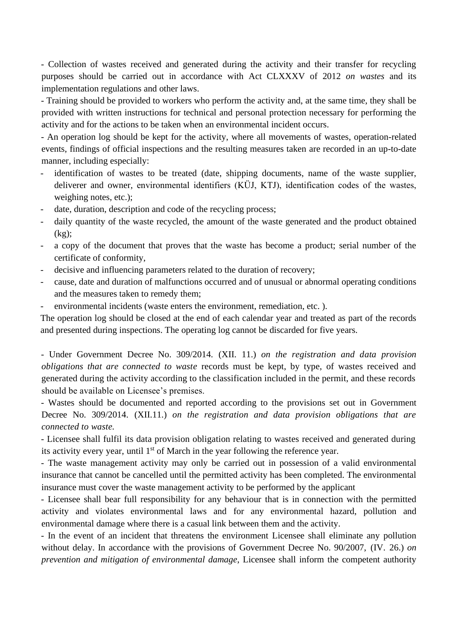- Collection of wastes received and generated during the activity and their transfer for recycling purposes should be carried out in accordance with Act CLXXXV of 2012 *on wastes* and its implementation regulations and other laws.

- Training should be provided to workers who perform the activity and, at the same time, they shall be provided with written instructions for technical and personal protection necessary for performing the activity and for the actions to be taken when an environmental incident occurs.

- An operation log should be kept for the activity, where all movements of wastes, operation-related events, findings of official inspections and the resulting measures taken are recorded in an up-to-date manner, including especially:

- identification of wastes to be treated (date, shipping documents, name of the waste supplier, deliverer and owner, environmental identifiers (KÜJ, KTJ), identification codes of the wastes, weighing notes, etc.);
- date, duration, description and code of the recycling process;
- daily quantity of the waste recycled, the amount of the waste generated and the product obtained (kg);
- a copy of the document that proves that the waste has become a product; serial number of the certificate of conformity,
- decisive and influencing parameters related to the duration of recovery;
- cause, date and duration of malfunctions occurred and of unusual or abnormal operating conditions and the measures taken to remedy them;
- environmental incidents (waste enters the environment, remediation, etc. ).

The operation log should be closed at the end of each calendar year and treated as part of the records and presented during inspections. The operating log cannot be discarded for five years.

- Under Government Decree No. 309/2014. (XII. 11.) *on the registration and data provision obligations that are connected to waste* records must be kept, by type, of wastes received and generated during the activity according to the classification included in the permit, and these records should be available on Licensee's premises.

- Wastes should be documented and reported according to the provisions set out in Government Decree No. 309/2014. (XII.11.) *on the registration and data provision obligations that are connected to waste.*

*-* Licensee shall fulfil its data provision obligation relating to wastes received and generated during its activity every year, until  $1<sup>st</sup>$  of March in the year following the reference year.

*-* The waste management activity may only be carried out in possession of a valid environmental insurance that cannot be cancelled until the permitted activity has been completed. The environmental insurance must cover the waste management activity to be performed by the applicant

*-* Licensee shall bear full responsibility for any behaviour that is in connection with the permitted activity and violates environmental laws and for any environmental hazard, pollution and environmental damage where there is a casual link between them and the activity.

- In the event of an incident that threatens the environment Licensee shall eliminate any pollution without delay. In accordance with the provisions of Government Decree No. 90/2007, (IV. 26.) *on prevention and mitigation of environmental damage*, Licensee shall inform the competent authority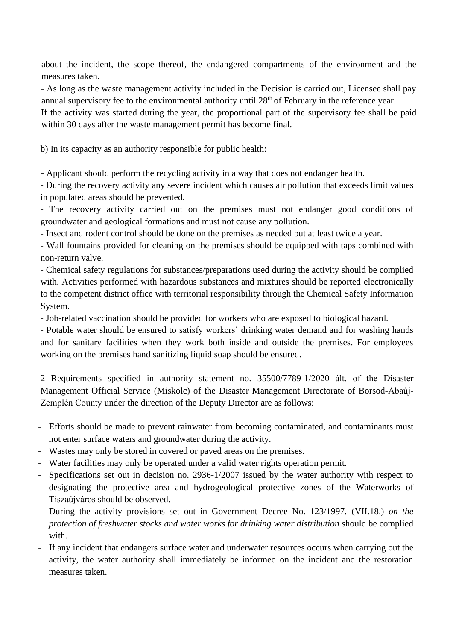about the incident, the scope thereof, the endangered compartments of the environment and the measures taken.

- As long as the waste management activity included in the Decision is carried out, Licensee shall pay annual supervisory fee to the environmental authority until  $28<sup>th</sup>$  of February in the reference year.

If the activity was started during the year, the proportional part of the supervisory fee shall be paid within 30 days after the waste management permit has become final.

b) In its capacity as an authority responsible for public health:

- Applicant should perform the recycling activity in a way that does not endanger health.

- During the recovery activity any severe incident which causes air pollution that exceeds limit values in populated areas should be prevented.

- The recovery activity carried out on the premises must not endanger good conditions of groundwater and geological formations and must not cause any pollution.

- Insect and rodent control should be done on the premises as needed but at least twice a year.

- Wall fountains provided for cleaning on the premises should be equipped with taps combined with non-return valve.

- Chemical safety regulations for substances/preparations used during the activity should be complied with. Activities performed with hazardous substances and mixtures should be reported electronically to the competent district office with territorial responsibility through the Chemical Safety Information System.

- Job-related vaccination should be provided for workers who are exposed to biological hazard.

- Potable water should be ensured to satisfy workers' drinking water demand and for washing hands and for sanitary facilities when they work both inside and outside the premises. For employees working on the premises hand sanitizing liquid soap should be ensured.

2 Requirements specified in authority statement no. 35500/7789-1/2020 ált. of the Disaster Management Official Service (Miskolc) of the Disaster Management Directorate of Borsod-Abaúj-Zemplén County under the direction of the Deputy Director are as follows:

- Efforts should be made to prevent rainwater from becoming contaminated, and contaminants must not enter surface waters and groundwater during the activity.
- Wastes may only be stored in covered or paved areas on the premises.
- Water facilities may only be operated under a valid water rights operation permit.
- Specifications set out in decision no. 2936-1/2007 issued by the water authority with respect to designating the protective area and hydrogeological protective zones of the Waterworks of Tiszaújváros should be observed.
- During the activity provisions set out in Government Decree No. 123/1997. (VII.18.) *on the protection of freshwater stocks and water works for drinking water distribution* should be complied with.
- If any incident that endangers surface water and underwater resources occurs when carrying out the activity, the water authority shall immediately be informed on the incident and the restoration measures taken.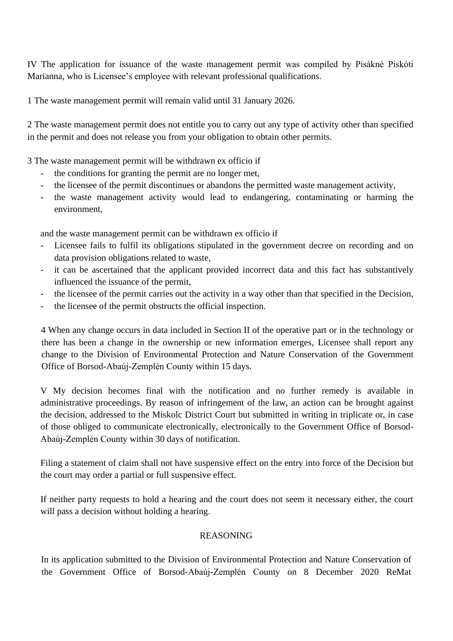IV The application for issuance of the waste management permit was compiled by Pisákné Piskóti Marianna, who is Licensee's employee with relevant professional qualifications.

1 The waste management permit will remain valid until 31 January 2026.

2 The waste management permit does not entitle you to carry out any type of activity other than specified in the permit and does not release you from your obligation to obtain other permits.

3 The waste management permit will be withdrawn ex officio if

- the conditions for granting the permit are no longer met,
- the licensee of the permit discontinues or abandons the permitted waste management activity,
- the waste management activity would lead to endangering, contaminating or harming the environment,

and the waste management permit can be withdrawn ex officio if

- Licensee fails to fulfil its obligations stipulated in the government decree on recording and on data provision obligations related to waste,
- it can be ascertained that the applicant provided incorrect data and this fact has substantively influenced the issuance of the permit,
- the licensee of the permit carries out the activity in a way other than that specified in the Decision,
- the licensee of the permit obstructs the official inspection.

4 When any change occurs in data included in Section II of the operative part or in the technology or there has been a change in the ownership or new information emerges, Licensee shall report any change to the Division of Environmental Protection and Nature Conservation of the Government Office of Borsod-Abaúj-Zemplén County within 15 days.

V My decision becomes final with the notification and no further remedy is available in administrative proceedings. By reason of infringement of the law, an action can be brought against the decision, addressed to the Miskolc District Court but submitted in writing in triplicate or, in case of those obliged to communicate electronically, electronically to the Government Office of Borsod-Abaúj-Zemplén County within 30 days of notification.

Filing a statement of claim shall not have suspensive effect on the entry into force of the Decision but the court may order a partial or full suspensive effect.

If neither party requests to hold a hearing and the court does not seem it necessary either, the court will pass a decision without holding a hearing.

#### REASONING

In its application submitted to the Division of Environmental Protection and Nature Conservation of the Government Office of Borsod-Abaúj-Zemplén County on 8 December 2020 ReMat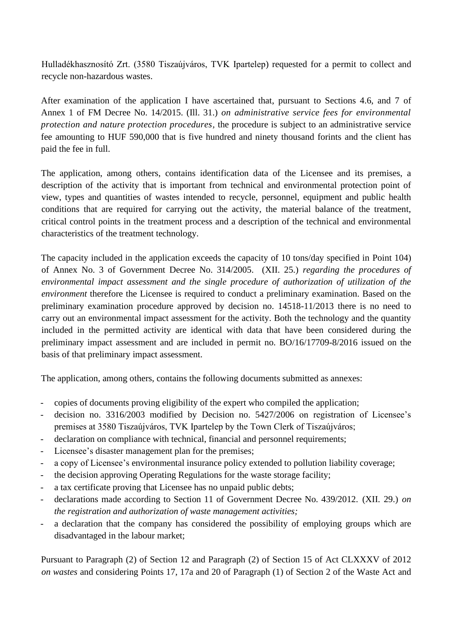Hulladékhasznosító Zrt. (3580 Tiszaújváros, TVK Ipartelep) requested for a permit to collect and recycle non-hazardous wastes.

After examination of the application I have ascertained that, pursuant to Sections 4.6, and 7 of Annex 1 of FM Decree No. 14/2015. (Ill. 31.) *on administrative service fees for environmental protection and nature protection procedures,* the procedure is subject to an administrative service fee amounting to HUF 590,000 that is five hundred and ninety thousand forints and the client has paid the fee in full.

The application, among others, contains identification data of the Licensee and its premises, a description of the activity that is important from technical and environmental protection point of view, types and quantities of wastes intended to recycle, personnel, equipment and public health conditions that are required for carrying out the activity, the material balance of the treatment, critical control points in the treatment process and a description of the technical and environmental characteristics of the treatment technology.

The capacity included in the application exceeds the capacity of 10 tons/day specified in Point 104) of Annex No. 3 of Government Decree No. 314/2005. (XII. 25.) *regarding the procedures of environmental impact assessment and the single procedure of authorization of utilization of the environment* therefore the Licensee is required to conduct a preliminary examination. Based on the preliminary examination procedure approved by decision no. 14518-11/2013 there is no need to carry out an environmental impact assessment for the activity. Both the technology and the quantity included in the permitted activity are identical with data that have been considered during the preliminary impact assessment and are included in permit no. BO/16/17709-8/2016 issued on the basis of that preliminary impact assessment.

The application, among others, contains the following documents submitted as annexes:

- copies of documents proving eligibility of the expert who compiled the application;
- decision no. 3316/2003 modified by Decision no. 5427/2006 on registration of Licensee's premises at 3580 Tiszaújváros, TVK Ipartelep by the Town Clerk of Tiszaújváros;
- declaration on compliance with technical, financial and personnel requirements;
- Licensee's disaster management plan for the premises;
- a copy of Licensee's environmental insurance policy extended to pollution liability coverage;
- the decision approving Operating Regulations for the waste storage facility;
- a tax certificate proving that Licensee has no unpaid public debts;
- declarations made according to Section 11 of Government Decree No. 439/2012. (XII. 29.) *on the registration and authorization of waste management activities;*
- a declaration that the company has considered the possibility of employing groups which are disadvantaged in the labour market;

Pursuant to Paragraph (2) of Section 12 and Paragraph (2) of Section 15 of Act CLXXXV of 2012 *on wastes* and considering Points 17, 17a and 20 of Paragraph (1) of Section 2 of the Waste Act and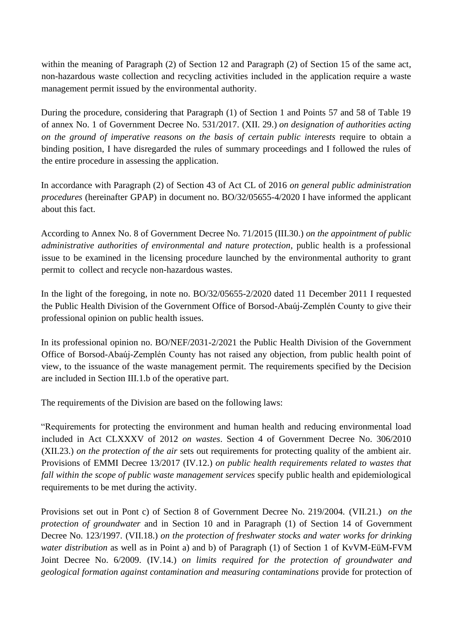within the meaning of Paragraph (2) of Section 12 and Paragraph (2) of Section 15 of the same act, non-hazardous waste collection and recycling activities included in the application require a waste management permit issued by the environmental authority.

During the procedure, considering that Paragraph (1) of Section 1 and Points 57 and 58 of Table 19 of annex No. 1 of Government Decree No. 531/2017. (XII. 29.) *on designation of authorities acting on the ground of imperative reasons on the basis of certain public interests* require to obtain a binding position, I have disregarded the rules of summary proceedings and I followed the rules of the entire procedure in assessing the application.

In accordance with Paragraph (2) of Section 43 of Act CL of 2016 *on general public administration procedures* (hereinafter GPAP) in document no. BO/32/05655-4/2020 I have informed the applicant about this fact.

According to Annex No. 8 of Government Decree No. 71/2015 (III.30.) *on the appointment of public administrative authorities of environmental and nature protection,* public health is a professional issue to be examined in the licensing procedure launched by the environmental authority to grant permit to collect and recycle non-hazardous wastes.

In the light of the foregoing, in note no. BO/32/05655-2/2020 dated 11 December 2011 I requested the Public Health Division of the Government Office of Borsod-Abaúj-Zemplén County to give their professional opinion on public health issues.

In its professional opinion no. BO/NEF/2031-2/2021 the Public Health Division of the Government Office of Borsod-Abaúj-Zemplén County has not raised any objection, from public health point of view, to the issuance of the waste management permit. The requirements specified by the Decision are included in Section III.1.b of the operative part.

The requirements of the Division are based on the following laws:

"Requirements for protecting the environment and human health and reducing environmental load included in Act CLXXXV of 2012 *on wastes*. Section 4 of Government Decree No. 306/2010 (XII.23.) *on the protection of the air* sets out requirements for protecting quality of the ambient air. Provisions of EMMI Decree 13/2017 (IV.12.) *on public health requirements related to wastes that fall within the scope of public waste management services* specify public health and epidemiological requirements to be met during the activity.

Provisions set out in Pont c) of Section 8 of Government Decree No. 219/2004. (VII.21.) *on the protection of groundwater* and in Section 10 and in Paragraph (1) of Section 14 of Government Decree No. 123/1997. (VII.18.) *on the protection of freshwater stocks and water works for drinking water distribution* as well as in Point a) and b) of Paragraph (1) of Section 1 of KvVM-EüM-FVM Joint Decree No. 6/2009. (IV.14.) *on limits required for the protection of groundwater and geological formation against contamination and measuring contaminations* provide for protection of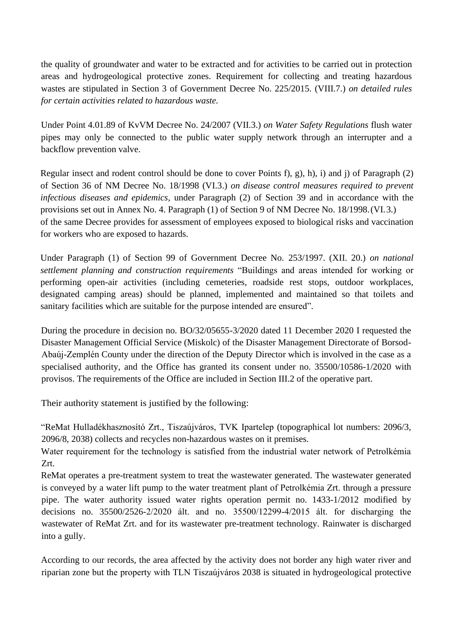the quality of groundwater and water to be extracted and for activities to be carried out in protection areas and hydrogeological protective zones*.* Requirement for collecting and treating hazardous wastes are stipulated in Section 3 of Government Decree No. 225/2015. (VIII.7.) *on detailed rules for certain activities related to hazardous waste.* 

Under Point 4.01.89 of KvVM Decree No. 24/2007 (VII.3.) *on Water Safety Regulations* flush water pipes may only be connected to the public water supply network through an interrupter and a backflow prevention valve.

Regular insect and rodent control should be done to cover Points f), g), h), i) and j) of Paragraph (2) of Section 36 of NM Decree No. 18/1998 (VI.3.) *on disease control measures required to prevent infectious diseases and epidemics,* under Paragraph (2) of Section 39 and in accordance with the provisions set out in Annex No. 4. Paragraph (1) of Section 9 of NM Decree No. 18/1998.(VI.3.) of the same Decree provides for assessment of employees exposed to biological risks and vaccination for workers who are exposed to hazards.

Under Paragraph (1) of Section 99 of Government Decree No. 253/1997. (XII. 20.) *on national settlement planning and construction requirements* "Buildings and areas intended for working or performing open-air activities (including cemeteries, roadside rest stops, outdoor workplaces, designated camping areas) should be planned, implemented and maintained so that toilets and sanitary facilities which are suitable for the purpose intended are ensured".

During the procedure in decision no. BO/32/05655-3/2020 dated 11 December 2020 I requested the Disaster Management Official Service (Miskolc) of the Disaster Management Directorate of Borsod-Abaúj-Zemplén County under the direction of the Deputy Director which is involved in the case as a specialised authority, and the Office has granted its consent under no. 35500/10586-1/2020 with provisos. The requirements of the Office are included in Section III.2 of the operative part.

Their authority statement is justified by the following:

"ReMat Hulladékhasznosító Zrt., Tiszaújváros, TVK Ipartelep (topographical lot numbers: 2096/3, 2096/8, 2038) collects and recycles non-hazardous wastes on it premises.

Water requirement for the technology is satisfied from the industrial water network of Petrolkémia Zrt.

ReMat operates a pre-treatment system to treat the wastewater generated. The wastewater generated is conveyed by a water lift pump to the water treatment plant of Petrolkémia Zrt. through a pressure pipe. The water authority issued water rights operation permit no. 1433-1/2012 modified by decisions no. 35500/2526-2/2020 ált. and no. 35500/12299-4/2015 ált. for discharging the wastewater of ReMat Zrt. and for its wastewater pre-treatment technology. Rainwater is discharged into a gully.

According to our records, the area affected by the activity does not border any high water river and riparian zone but the property with TLN Tiszaújváros 2038 is situated in hydrogeological protective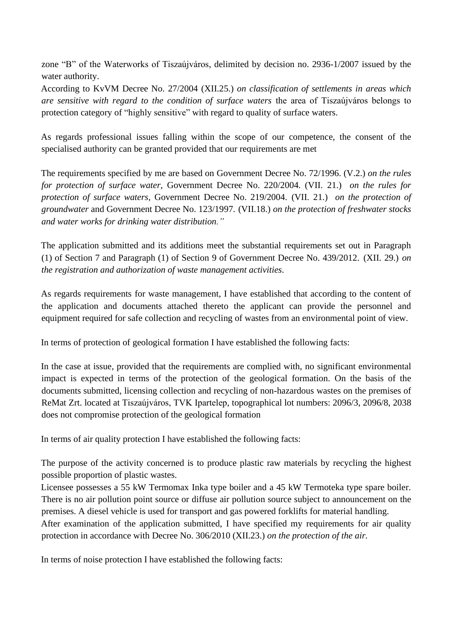zone "B" of the Waterworks of Tiszaújváros, delimited by decision no. 2936-1/2007 issued by the water authority.

According to KvVM Decree No. 27/2004 (XII.25.) *on classification of settlements in areas which are sensitive with regard to the condition of surface waters* the area of Tiszaújváros belongs to protection category of "highly sensitive" with regard to quality of surface waters.

As regards professional issues falling within the scope of our competence, the consent of the specialised authority can be granted provided that our requirements are met

The requirements specified by me are based on Government Decree No. 72/1996. (V.2.) *on the rules for protection of surface water,* Government Decree No. 220/2004. (VII. 21.) *on the rules for protection of surface waters,* Government Decree No. 219/2004. (VII. 21.) *on the protection of groundwater* and Government Decree No. 123/1997. (VII.18.) *on the protection of freshwater stocks and water works for drinking water distribution."*

The application submitted and its additions meet the substantial requirements set out in Paragraph (1) of Section 7 and Paragraph (1) of Section 9 of Government Decree No. 439/2012. (XII. 29.) *on the registration and authorization of waste management activities.*

As regards requirements for waste management, I have established that according to the content of the application and documents attached thereto the applicant can provide the personnel and equipment required for safe collection and recycling of wastes from an environmental point of view.

In terms of protection of geological formation I have established the following facts:

In the case at issue, provided that the requirements are complied with, no significant environmental impact is expected in terms of the protection of the geological formation. On the basis of the documents submitted, licensing collection and recycling of non-hazardous wastes on the premises of ReMat Zrt. located at Tiszaújváros, TVK Ipartelep, topographical lot numbers: 2096/3, 2096/8, 2038 does not compromise protection of the geological formation

In terms of air quality protection I have established the following facts:

The purpose of the activity concerned is to produce plastic raw materials by recycling the highest possible proportion of plastic wastes.

Licensee possesses a 55 kW Termomax Inka type boiler and a 45 kW Termoteka type spare boiler. There is no air pollution point source or diffuse air pollution source subject to announcement on the premises. A diesel vehicle is used for transport and gas powered forklifts for material handling.

After examination of the application submitted, I have specified my requirements for air quality protection in accordance with Decree No. 306/2010 (XII.23.) *on the protection of the air.* 

In terms of noise protection I have established the following facts: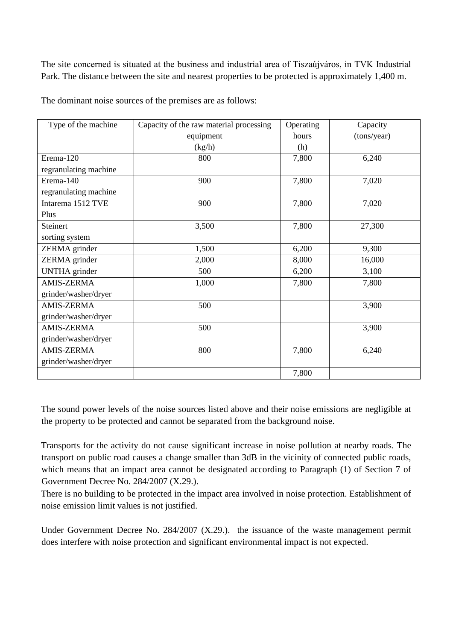The site concerned is situated at the business and industrial area of Tiszaújváros, in TVK Industrial Park. The distance between the site and nearest properties to be protected is approximately 1,400 m.

| Type of the machine   | Capacity of the raw material processing | Operating | Capacity    |
|-----------------------|-----------------------------------------|-----------|-------------|
|                       | equipment                               | hours     | (tons/year) |
|                       | (kg/h)                                  | (h)       |             |
| Erema-120             | 800                                     | 7,800     | 6,240       |
| regranulating machine |                                         |           |             |
| Erema-140             | 900                                     | 7,800     | 7,020       |
| regranulating machine |                                         |           |             |
| Intarema 1512 TVE     | 900                                     | 7,800     | 7,020       |
| Plus                  |                                         |           |             |
| Steinert              | 3,500                                   | 7,800     | 27,300      |
| sorting system        |                                         |           |             |
| ZERMA grinder         | 1,500                                   | 6,200     | 9,300       |
| ZERMA grinder         | 2,000                                   | 8,000     | 16,000      |
| <b>UNTHA</b> grinder  | 500                                     | 6,200     | 3,100       |
| <b>AMIS-ZERMA</b>     | 1,000                                   | 7,800     | 7,800       |
| grinder/washer/dryer  |                                         |           |             |
| <b>AMIS-ZERMA</b>     | 500                                     |           | 3,900       |
| grinder/washer/dryer  |                                         |           |             |
| <b>AMIS-ZERMA</b>     | 500                                     |           | 3,900       |
| grinder/washer/dryer  |                                         |           |             |
| <b>AMIS-ZERMA</b>     | 800                                     | 7,800     | 6,240       |
| grinder/washer/dryer  |                                         |           |             |
|                       |                                         | 7,800     |             |

The dominant noise sources of the premises are as follows:

The sound power levels of the noise sources listed above and their noise emissions are negligible at the property to be protected and cannot be separated from the background noise.

Transports for the activity do not cause significant increase in noise pollution at nearby roads. The transport on public road causes a change smaller than 3dB in the vicinity of connected public roads, which means that an impact area cannot be designated according to Paragraph (1) of Section 7 of Government Decree No. 284/2007 (X.29.).

There is no building to be protected in the impact area involved in noise protection. Establishment of noise emission limit values is not justified.

Under Government Decree No. 284/2007 (X.29.). the issuance of the waste management permit does interfere with noise protection and significant environmental impact is not expected.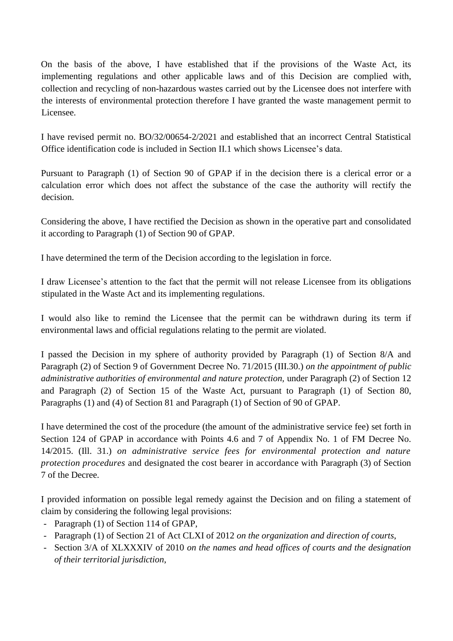On the basis of the above, I have established that if the provisions of the Waste Act, its implementing regulations and other applicable laws and of this Decision are complied with, collection and recycling of non-hazardous wastes carried out by the Licensee does not interfere with the interests of environmental protection therefore I have granted the waste management permit to Licensee.

I have revised permit no. BO/32/00654-2/2021 and established that an incorrect Central Statistical Office identification code is included in Section II.1 which shows Licensee's data.

Pursuant to Paragraph (1) of Section 90 of GPAP if in the decision there is a clerical error or a calculation error which does not affect the substance of the case the authority will rectify the decision.

Considering the above, I have rectified the Decision as shown in the operative part and consolidated it according to Paragraph (1) of Section 90 of GPAP.

I have determined the term of the Decision according to the legislation in force.

I draw Licensee's attention to the fact that the permit will not release Licensee from its obligations stipulated in the Waste Act and its implementing regulations.

I would also like to remind the Licensee that the permit can be withdrawn during its term if environmental laws and official regulations relating to the permit are violated.

I passed the Decision in my sphere of authority provided by Paragraph (1) of Section 8/A and Paragraph (2) of Section 9 of Government Decree No. 71/2015 (III.30.) *on the appointment of public administrative authorities of environmental and nature protection,* under Paragraph (2) of Section 12 and Paragraph (2) of Section 15 of the Waste Act, pursuant to Paragraph (1) of Section 80, Paragraphs (1) and (4) of Section 81 and Paragraph (1) of Section of 90 of GPAP.

I have determined the cost of the procedure (the amount of the administrative service fee) set forth in Section 124 of GPAP in accordance with Points 4.6 and 7 of Appendix No. 1 of FM Decree No. 14/2015. (Ill. 31.) *on administrative service fees for environmental protection and nature protection procedures* and designated the cost bearer in accordance with Paragraph (3) of Section 7 of the Decree.

I provided information on possible legal remedy against the Decision and on filing a statement of claim by considering the following legal provisions:

- Paragraph (1) of Section 114 of GPAP,
- Paragraph (1) of Section 21 of Act CLXI of 2012 *on the organization and direction of courts*,
- Section 3/A of XLXXXIV of 2010 *on the names and head offices of courts and the designation of their territorial jurisdiction*,